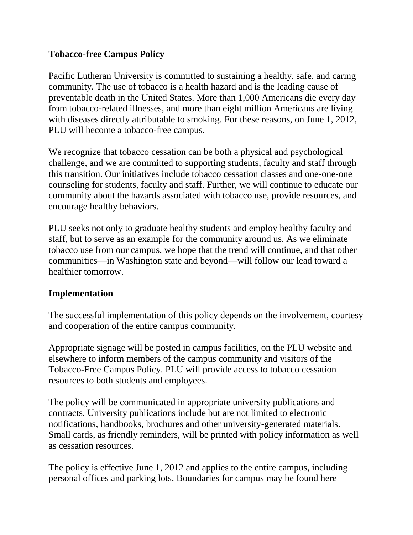## **Tobacco-free Campus Policy**

Pacific Lutheran University is committed to sustaining a healthy, safe, and caring community. The use of tobacco is a health hazard and is the leading cause of preventable death in the United States. More than 1,000 Americans die every day from tobacco-related illnesses, and more than eight million Americans are living with diseases directly attributable to smoking. For these reasons, on June 1, 2012, PLU will become a tobacco-free campus.

We recognize that tobacco cessation can be both a physical and psychological challenge, and we are committed to supporting students, faculty and staff through this transition. Our initiatives include tobacco cessation classes and one-one-one counseling for students, faculty and staff. Further, we will continue to educate our community about the hazards associated with tobacco use, provide resources, and encourage healthy behaviors.

PLU seeks not only to graduate healthy students and employ healthy faculty and staff, but to serve as an example for the community around us. As we eliminate tobacco use from our campus, we hope that the trend will continue, and that other communities—in Washington state and beyond—will follow our lead toward a healthier tomorrow.

## **Implementation**

The successful implementation of this policy depends on the involvement, courtesy and cooperation of the entire campus community.

Appropriate signage will be posted in campus facilities, on the PLU website and elsewhere to inform members of the campus community and visitors of the Tobacco-Free Campus Policy. PLU will provide access to tobacco cessation resources to both students and employees.

The policy will be communicated in appropriate university publications and contracts. University publications include but are not limited to electronic notifications, handbooks, brochures and other university-generated materials. Small cards, as friendly reminders, will be printed with policy information as well as cessation resources.

The policy is effective June 1, 2012 and applies to the entire campus, including personal offices and parking lots. Boundaries for campus may be found here